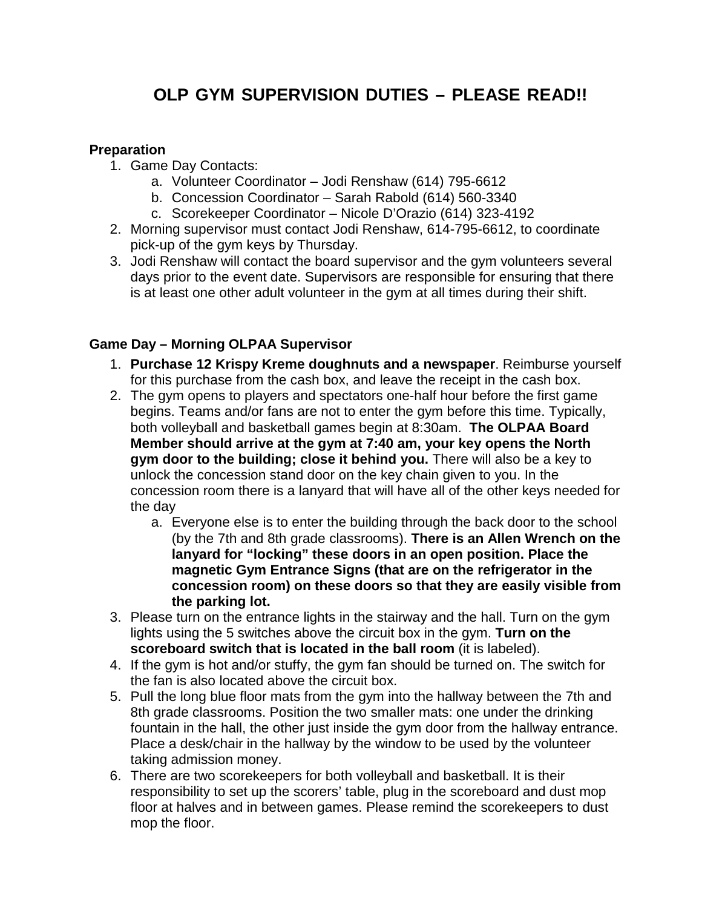# **OLP GYM SUPERVISION DUTIES – PLEASE READ!!**

### **Preparation**

- 1. Game Day Contacts:
	- a. Volunteer Coordinator Jodi Renshaw (614) 795-6612
	- b. Concession Coordinator Sarah Rabold (614) 560-3340
	- c. Scorekeeper Coordinator Nicole D'Orazio (614) 323-4192
- 2. Morning supervisor must contact Jodi Renshaw, 614-795-6612, to coordinate pick-up of the gym keys by Thursday.
- 3. Jodi Renshaw will contact the board supervisor and the gym volunteers several days prior to the event date. Supervisors are responsible for ensuring that there is at least one other adult volunteer in the gym at all times during their shift.

# **Game Day – Morning OLPAA Supervisor**

- 1. **Purchase 12 Krispy Kreme doughnuts and a newspaper**. Reimburse yourself for this purchase from the cash box, and leave the receipt in the cash box.
- 2. The gym opens to players and spectators one-half hour before the first game begins. Teams and/or fans are not to enter the gym before this time. Typically, both volleyball and basketball games begin at 8:30am. **The OLPAA Board Member should arrive at the gym at 7:40 am, your key opens the North gym door to the building; close it behind you.** There will also be a key to unlock the concession stand door on the key chain given to you. In the concession room there is a lanyard that will have all of the other keys needed for the day
	- a. Everyone else is to enter the building through the back door to the school (by the 7th and 8th grade classrooms). **There is an Allen Wrench on the lanyard for "locking" these doors in an open position. Place the magnetic Gym Entrance Signs (that are on the refrigerator in the concession room) on these doors so that they are easily visible from the parking lot.**
- 3. Please turn on the entrance lights in the stairway and the hall. Turn on the gym lights using the 5 switches above the circuit box in the gym. **Turn on the scoreboard switch that is located in the ball room** (it is labeled).
- 4. If the gym is hot and/or stuffy, the gym fan should be turned on. The switch for the fan is also located above the circuit box.
- 5. Pull the long blue floor mats from the gym into the hallway between the 7th and 8th grade classrooms. Position the two smaller mats: one under the drinking fountain in the hall, the other just inside the gym door from the hallway entrance. Place a desk/chair in the hallway by the window to be used by the volunteer taking admission money.
- 6. There are two scorekeepers for both volleyball and basketball. It is their responsibility to set up the scorers' table, plug in the scoreboard and dust mop floor at halves and in between games. Please remind the scorekeepers to dust mop the floor.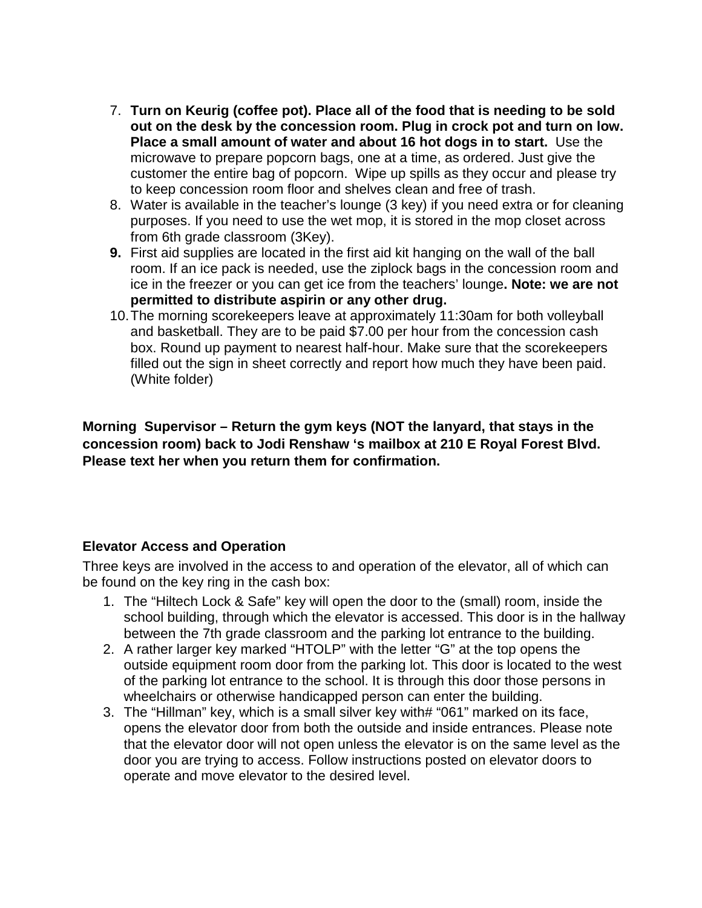- 7. **Turn on Keurig (coffee pot). Place all of the food that is needing to be sold out on the desk by the concession room. Plug in crock pot and turn on low. Place a small amount of water and about 16 hot dogs in to start.** Use the microwave to prepare popcorn bags, one at a time, as ordered. Just give the customer the entire bag of popcorn. Wipe up spills as they occur and please try to keep concession room floor and shelves clean and free of trash.
- 8. Water is available in the teacher's lounge (3 key) if you need extra or for cleaning purposes. If you need to use the wet mop, it is stored in the mop closet across from 6th grade classroom (3Key).
- **9.** First aid supplies are located in the first aid kit hanging on the wall of the ball room. If an ice pack is needed, use the ziplock bags in the concession room and ice in the freezer or you can get ice from the teachers' lounge**. Note: we are not permitted to distribute aspirin or any other drug.**
- 10.The morning scorekeepers leave at approximately 11:30am for both volleyball and basketball. They are to be paid \$7.00 per hour from the concession cash box. Round up payment to nearest half-hour. Make sure that the scorekeepers filled out the sign in sheet correctly and report how much they have been paid. (White folder)

**Morning Supervisor – Return the gym keys (NOT the lanyard, that stays in the concession room) back to Jodi Renshaw 's mailbox at 210 E Royal Forest Blvd. Please text her when you return them for confirmation.**

# **Elevator Access and Operation**

Three keys are involved in the access to and operation of the elevator, all of which can be found on the key ring in the cash box:

- 1. The "Hiltech Lock & Safe" key will open the door to the (small) room, inside the school building, through which the elevator is accessed. This door is in the hallway between the 7th grade classroom and the parking lot entrance to the building.
- 2. A rather larger key marked "HTOLP" with the letter "G" at the top opens the outside equipment room door from the parking lot. This door is located to the west of the parking lot entrance to the school. It is through this door those persons in wheelchairs or otherwise handicapped person can enter the building.
- 3. The "Hillman" key, which is a small silver key with# "061" marked on its face, opens the elevator door from both the outside and inside entrances. Please note that the elevator door will not open unless the elevator is on the same level as the door you are trying to access. Follow instructions posted on elevator doors to operate and move elevator to the desired level.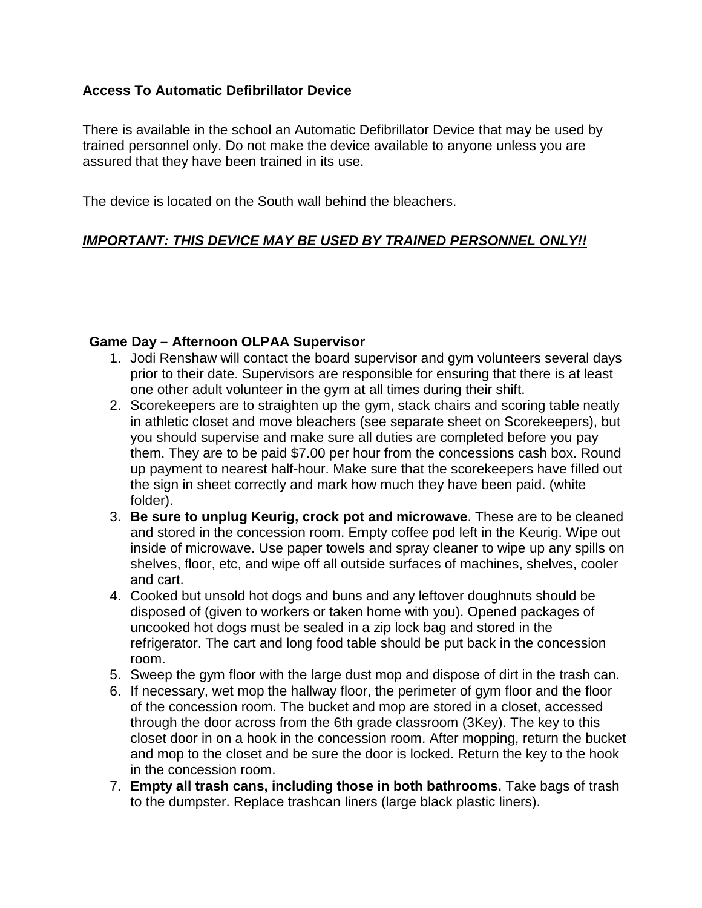## **Access To Automatic Defibrillator Device**

There is available in the school an Automatic Defibrillator Device that may be used by trained personnel only. Do not make the device available to anyone unless you are assured that they have been trained in its use.

The device is located on the South wall behind the bleachers.

# *IMPORTANT: THIS DEVICE MAY BE USED BY TRAINED PERSONNEL ONLY!!*

### **Game Day – Afternoon OLPAA Supervisor**

- 1. Jodi Renshaw will contact the board supervisor and gym volunteers several days prior to their date. Supervisors are responsible for ensuring that there is at least one other adult volunteer in the gym at all times during their shift.
- 2. Scorekeepers are to straighten up the gym, stack chairs and scoring table neatly in athletic closet and move bleachers (see separate sheet on Scorekeepers), but you should supervise and make sure all duties are completed before you pay them. They are to be paid \$7.00 per hour from the concessions cash box. Round up payment to nearest half-hour. Make sure that the scorekeepers have filled out the sign in sheet correctly and mark how much they have been paid. (white folder).
- 3. **Be sure to unplug Keurig, crock pot and microwave**. These are to be cleaned and stored in the concession room. Empty coffee pod left in the Keurig. Wipe out inside of microwave. Use paper towels and spray cleaner to wipe up any spills on shelves, floor, etc, and wipe off all outside surfaces of machines, shelves, cooler and cart.
- 4. Cooked but unsold hot dogs and buns and any leftover doughnuts should be disposed of (given to workers or taken home with you). Opened packages of uncooked hot dogs must be sealed in a zip lock bag and stored in the refrigerator. The cart and long food table should be put back in the concession room.
- 5. Sweep the gym floor with the large dust mop and dispose of dirt in the trash can.
- 6. If necessary, wet mop the hallway floor, the perimeter of gym floor and the floor of the concession room. The bucket and mop are stored in a closet, accessed through the door across from the 6th grade classroom (3Key). The key to this closet door in on a hook in the concession room. After mopping, return the bucket and mop to the closet and be sure the door is locked. Return the key to the hook in the concession room.
- 7. **Empty all trash cans, including those in both bathrooms.** Take bags of trash to the dumpster. Replace trashcan liners (large black plastic liners).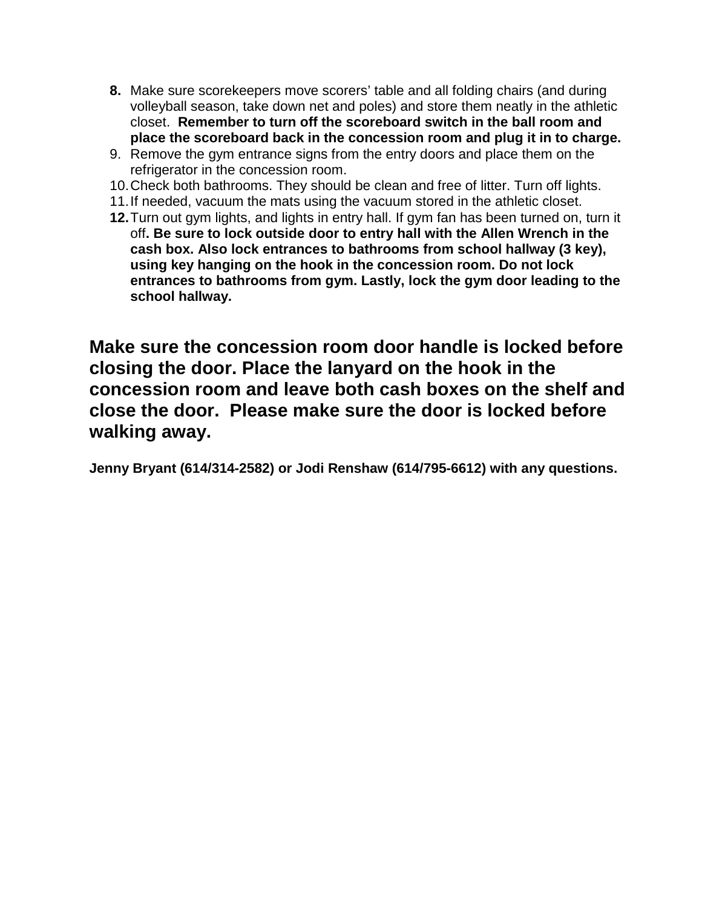- **8.** Make sure scorekeepers move scorers' table and all folding chairs (and during volleyball season, take down net and poles) and store them neatly in the athletic closet. **Remember to turn off the scoreboard switch in the ball room and place the scoreboard back in the concession room and plug it in to charge.**
- 9. Remove the gym entrance signs from the entry doors and place them on the refrigerator in the concession room.
- 10.Check both bathrooms. They should be clean and free of litter. Turn off lights.
- 11.If needed, vacuum the mats using the vacuum stored in the athletic closet.
- **12.**Turn out gym lights, and lights in entry hall. If gym fan has been turned on, turn it off**. Be sure to lock outside door to entry hall with the Allen Wrench in the cash box. Also lock entrances to bathrooms from school hallway (3 key), using key hanging on the hook in the concession room. Do not lock entrances to bathrooms from gym. Lastly, lock the gym door leading to the school hallway.**

**Make sure the concession room door handle is locked before closing the door. Place the lanyard on the hook in the concession room and leave both cash boxes on the shelf and close the door. Please make sure the door is locked before walking away.** 

**Jenny Bryant (614/314-2582) or Jodi Renshaw (614/795-6612) with any questions.**